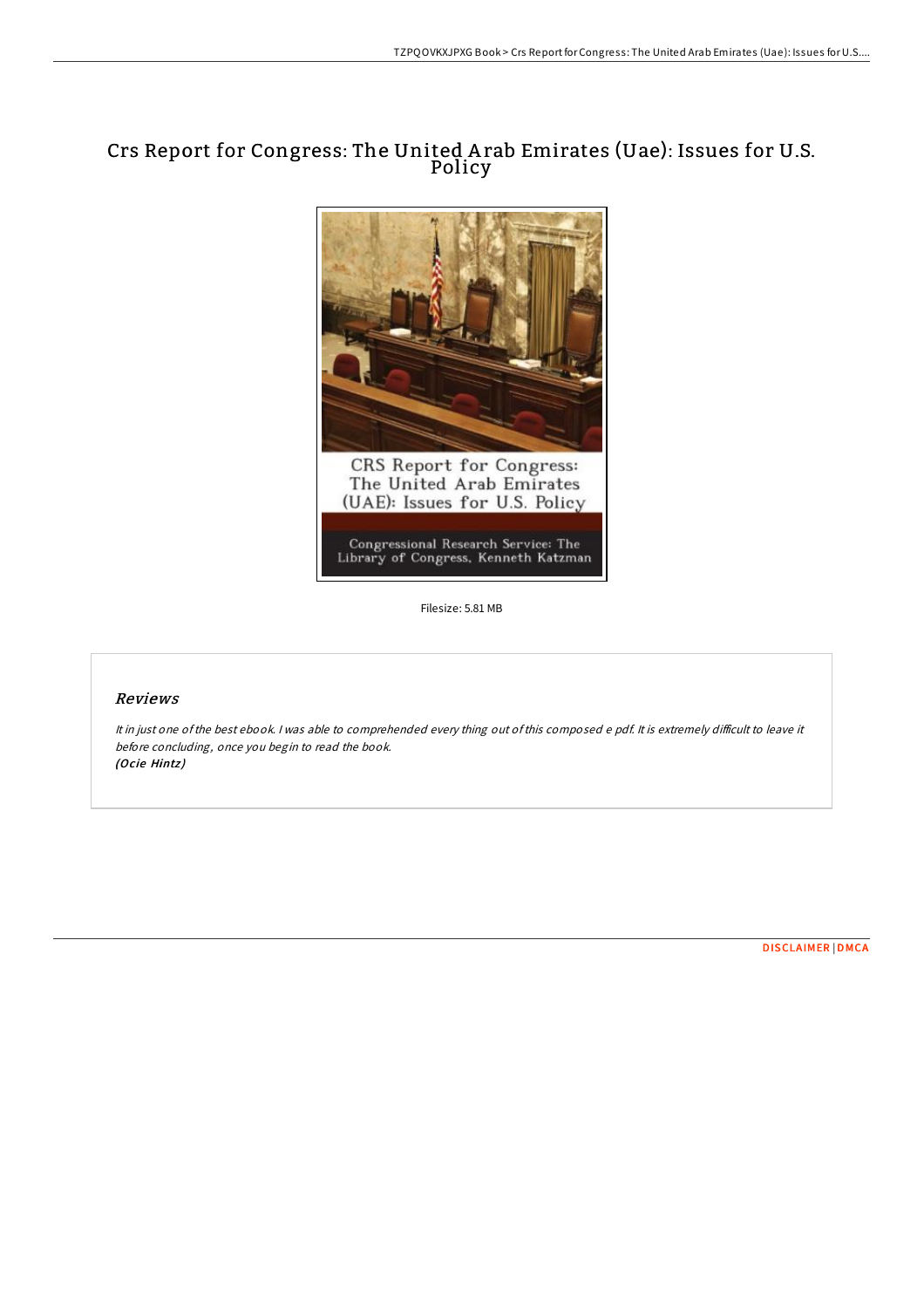# Crs Report for Congress: The United A rab Emirates (Uae): Issues for U.S. Policy



Filesize: 5.81 MB

## Reviews

It in just one of the best ebook. I was able to comprehended every thing out of this composed e pdf. It is extremely difficult to leave it before concluding, once you begin to read the book. (Ocie Hintz)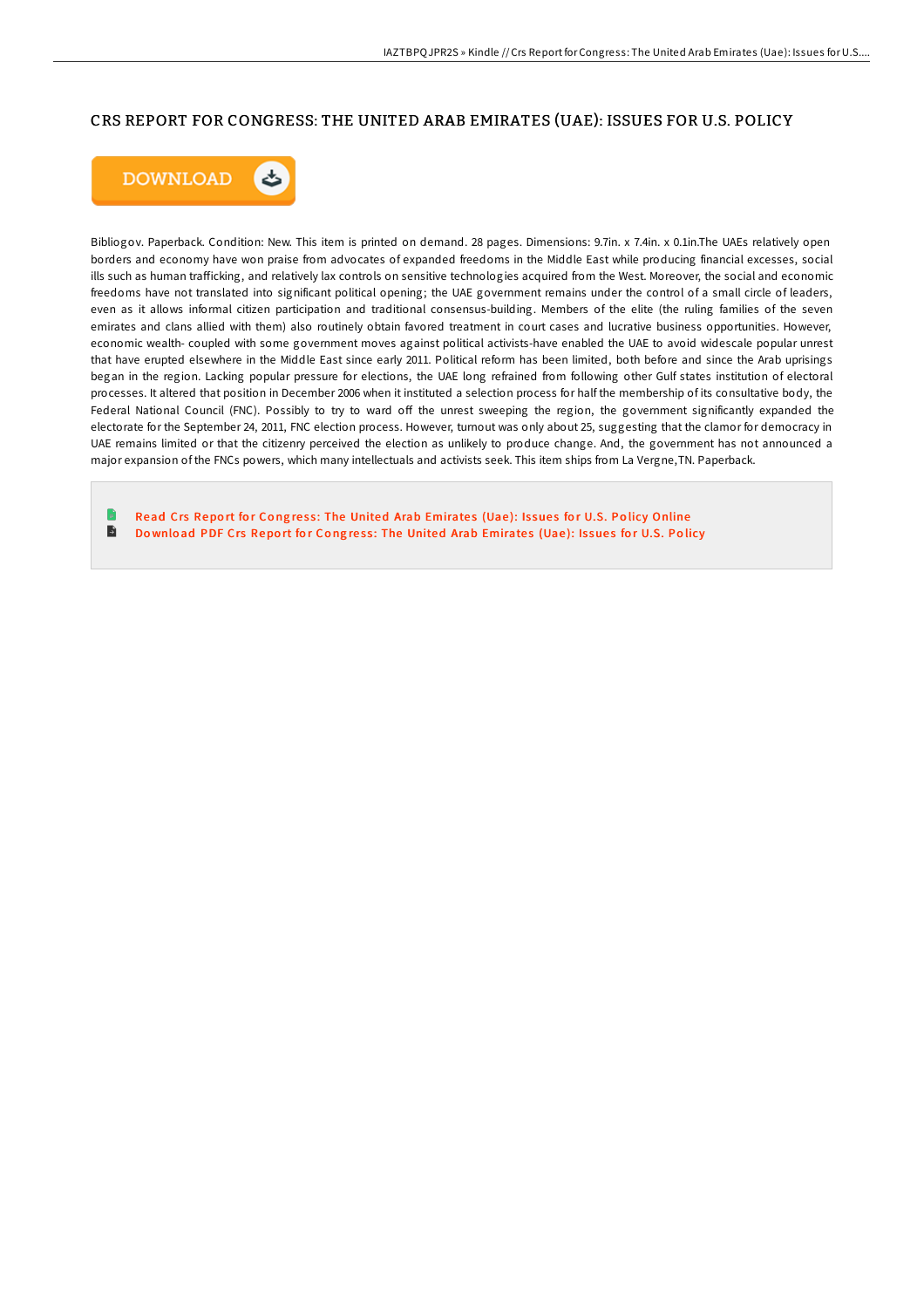### CRS REPORT FOR CONGRESS: THE UNITED ARAB EMIRATES (UAE): ISSUES FOR U.S. POLICY



Bibliogov. Paperback. Condition: New. This item is printed on demand. 28 pages. Dimensions: 9.7in. x 7.4in. x 0.1in.The UAEs relatively open borders and economy have won praise from advocates of expanded freedoms in the Middle East while producing financial excesses, social ills such as human trafficking, and relatively lax controls on sensitive technologies acquired from the West. Moreover, the social and economic freedoms have not translated into significant political opening; the UAE government remains under the control of a small circle of leaders, even as it allows informal citizen participation and traditional consensus-building. Members of the elite (the ruling families of the seven emirates and clans allied with them) also routinely obtain favored treatment in court cases and lucrative business opportunities. However, economic wealth- coupled with some government moves against political activists-have enabled the UAE to avoid widescale popular unrest that have erupted elsewhere in the Middle East since early 2011. Political reform has been limited, both before and since the Arab uprisings began in the region. Lacking popular pressure for elections, the UAE long refrained from following other Gulf states institution of electoral processes. It altered that position in December 2006 when it instituted a selection process for half the membership of its consultative body, the Federal National Council (FNC). Possibly to try to ward off the unrest sweeping the region, the government significantly expanded the electorate for the September 24, 2011, FNC election process. However, turnout was only about 25, suggesting that the clamor for democracy in UAE remains limited or that the citizenry perceived the election as unlikely to produce change. And, the government has not announced a major expansion of the FNCs powers, which many intellectuals and activists seek. This item ships from La Vergne,TN. Paperback.

Read Crs Report for Congress: The United Arab [Emirate](http://almighty24.tech/crs-report-for-congress-the-united-arab-emirates-1.html)s (Uae): Issues for U.S. Policy Online  $\blacktriangleright$ Download PDF Crs Report for Congress: The United Arab [Emirate](http://almighty24.tech/crs-report-for-congress-the-united-arab-emirates-1.html)s (Uae): Issues for U.S. Policy